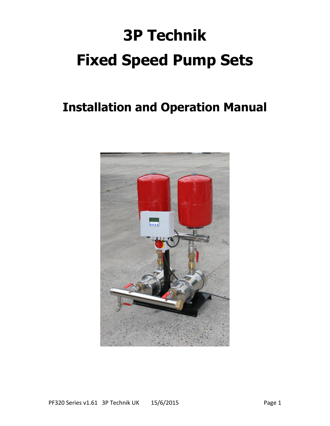# **3P Technik Fixed Speed Pump Sets**

## **Installation and Operation Manual**

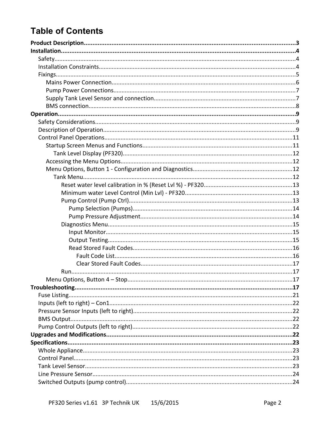## **Table of Contents**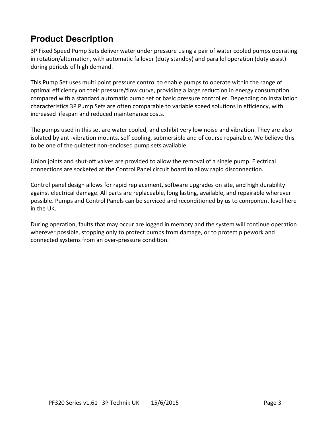## **Product Description**

3P Fixed Speed Pump Sets deliver water under pressure using a pair of water cooled pumps operating in rotation/alternation, with automatic failover (duty standby) and parallel operation (duty assist) during periods of high demand.

This Pump Set uses multi point pressure control to enable pumps to operate within the range of optimal efficiency on their pressure/flow curve, providing a large reduction in energy consumption compared with a standard automatic pump set or basic pressure controller. Depending on installation characteristics 3P Pump Sets are often comparable to variable speed solutions in efficiency, with increased lifespan and reduced maintenance costs.

The pumps used in this set are water cooled, and exhibit very low noise and vibration. They are also isolated by anti-vibration mounts, self cooling, submersible and of course repairable. We believe this to be one of the quietest non-enclosed pump sets available.

Union joints and shut-off valves are provided to allow the removal of a single pump. Electrical connections are socketed at the Control Panel circuit board to allow rapid disconnection.

Control panel design allows for rapid replacement, software upgrades on site, and high durability against electrical damage. All parts are replaceable, long lasting, available, and repairable wherever possible. Pumps and Control Panels can be serviced and reconditioned by us to component level here in the UK.

During operation, faults that may occur are logged in memory and the system will continue operation wherever possible, stopping only to protect pumps from damage, or to protect pipework and connected systems from an over-pressure condition.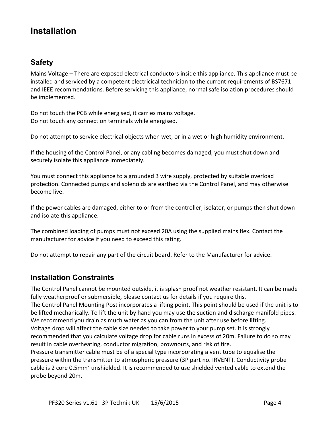## **Installation**

## **Safety**

Mains Voltage – There are exposed electrical conductors inside this appliance. This appliance must be installed and serviced by a competent electricical technician to the current requirements of BS7671 and IEEE recommendations. Before servicing this appliance, normal safe isolation procedures should be implemented.

Do not touch the PCB while energised, it carries mains voltage. Do not touch any connection terminals while energised.

Do not attempt to service electrical objects when wet, or in a wet or high humidity environment.

If the housing of the Control Panel, or any cabling becomes damaged, you must shut down and securely isolate this appliance immediately.

You must connect this appliance to a grounded 3 wire supply, protected by suitable overload protection. Connected pumps and solenoids are earthed via the Control Panel, and may otherwise become live.

If the power cables are damaged, either to or from the controller, isolator, or pumps then shut down and isolate this appliance.

The combined loading of pumps must not exceed 20A using the supplied mains flex. Contact the manufacturer for advice if you need to exceed this rating.

Do not attempt to repair any part of the circuit board. Refer to the Manufacturer for advice.

### **Installation Constraints**

The Control Panel cannot be mounted outside, it is splash proof not weather resistant. It can be made fully weatherproof or submersible, please contact us for details if you require this. The Control Panel Mounting Post incorporates a lifting point. This point should be used if the unit is to be lifted mechanically. To lift the unit by hand you may use the suction and discharge manifold pipes. We recommend you drain as much water as you can from the unit after use before lifting. Voltage drop will affect the cable size needed to take power to your pump set. It is strongly recommended that you calculate voltage drop for cable runs in excess of 20m. Failure to do so may result in cable overheating, conductor migration, brownouts, and risk of fire. Pressure transmitter cable must be of a special type incorporating a vent tube to equalise the pressure within the transmitter to atmospheric pressure (3P part no. IRVENT). Conductivity probe cable is 2 core 0.5mm<sup>2</sup> unshielded. It is recommended to use shielded vented cable to extend the probe beyond 20m.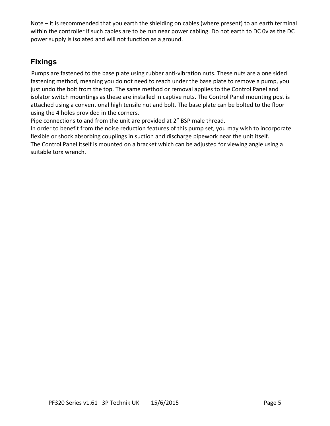Note – it is recommended that you earth the shielding on cables (where present) to an earth terminal within the controller if such cables are to be run near power cabling. Do not earth to DC 0v as the DC power supply is isolated and will not function as a ground.

## **Fixings**

Pumps are fastened to the base plate using rubber anti-vibration nuts. These nuts are a one sided fastening method, meaning you do not need to reach under the base plate to remove a pump, you just undo the bolt from the top. The same method or removal applies to the Control Panel and isolator switch mountings as these are installed in captive nuts. The Control Panel mounting post is attached using a conventional high tensile nut and bolt. The base plate can be bolted to the floor using the 4 holes provided in the corners.

Pipe connections to and from the unit are provided at 2" BSP male thread.

In order to benefit from the noise reduction features of this pump set, you may wish to incorporate flexible or shock absorbing couplings in suction and discharge pipework near the unit itself. The Control Panel itself is mounted on a bracket which can be adjusted for viewing angle using a suitable torx wrench.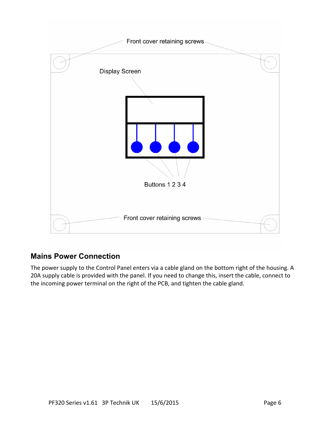

## **Mains Power Connection**

The power supply to the Control Panel enters via a cable gland on the bottom right of the housing. A 20A supply cable is provided with the panel. If you need to change this, insert the cable, connect to the incoming power terminal on the right of the PCB, and tighten the cable gland.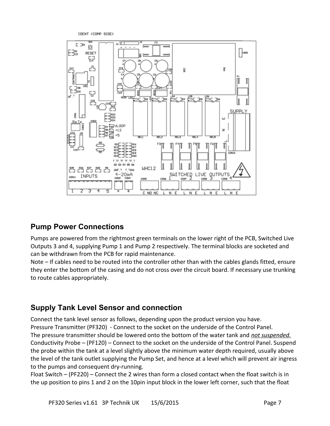IDENT (COMP SIDE)



## **Pump Power Connections**

Pumps are powered from the rightmost green terminals on the lower right of the PCB, Switched Live Outputs 3 and 4, supplying Pump 1 and Pump 2 respectively. The terminal blocks are socketed and can be withdrawn from the PCB for rapid maintenance.

Note – If cables need to be routed into the controller other than with the cables glands fitted, ensure they enter the bottom of the casing and do not cross over the circuit board. If necessary use trunking to route cables appropriately.

## **Supply Tank Level Sensor and connection**

Connect the tank level sensor as follows, depending upon the product version you have. Pressure Transmitter (PF320) - Connect to the socket on the underside of the Control Panel. The pressure transmitter should be lowered onto the bottom of the water tank and *not suspended.* Conductivity Probe – (PF120) – Connect to the socket on the underside of the Control Panel. Suspend the probe within the tank at a level slightly above the minimum water depth required, usually above the level of the tank outlet supplying the Pump Set, and hence at a level which will prevent air ingress to the pumps and consequent dry-running.

Float Switch – (PF220) – Connect the 2 wires than form a closed contact when the float switch is in the up position to pins 1 and 2 on the 10pin input block in the lower left corner, such that the float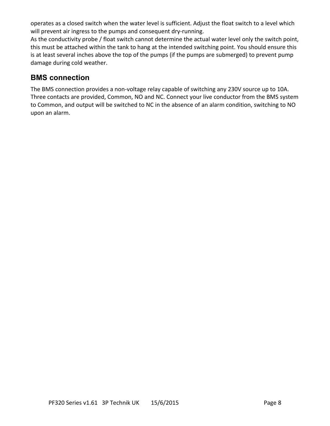operates as a closed switch when the water level is sufficient. Adjust the float switch to a level which will prevent air ingress to the pumps and consequent dry-running.

As the conductivity probe / float switch cannot determine the actual water level only the switch point, this must be attached within the tank to hang at the intended switching point. You should ensure this is at least several inches above the top of the pumps (if the pumps are submerged) to prevent pump damage during cold weather.

## **BMS connection**

The BMS connection provides a non-voltage relay capable of switching any 230V source up to 10A. Three contacts are provided, Common, NO and NC. Connect your live conductor from the BMS system to Common, and output will be switched to NC in the absence of an alarm condition, switching to NO upon an alarm.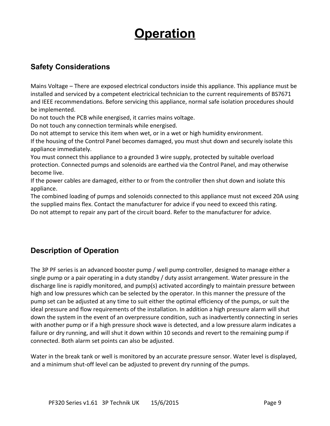## **Operation**

## **Safety Considerations**

Mains Voltage – There are exposed electrical conductors inside this appliance. This appliance must be installed and serviced by a competent electricical technician to the current requirements of BS7671 and IEEE recommendations. Before servicing this appliance, normal safe isolation procedures should be implemented.

Do not touch the PCB while energised, it carries mains voltage.

Do not touch any connection terminals while energised.

Do not attempt to service this item when wet, or in a wet or high humidity environment.

If the housing of the Control Panel becomes damaged, you must shut down and securely isolate this appliance immediately.

You must connect this appliance to a grounded 3 wire supply, protected by suitable overload protection. Connected pumps and solenoids are earthed via the Control Panel, and may otherwise become live.

If the power cables are damaged, either to or from the controller then shut down and isolate this appliance.

The combined loading of pumps and solenoids connected to this appliance must not exceed 20A using the supplied mains flex. Contact the manufacturer for advice if you need to exceed this rating. Do not attempt to repair any part of the circuit board. Refer to the manufacturer for advice.

## **Description of Operation**

The 3P PF series is an advanced booster pump / well pump controller, designed to manage either a single pump or a pair operating in a duty standby / duty assist arrangement. Water pressure in the discharge line is rapidly monitored, and pump(s) activated accordingly to maintain pressure between high and low pressures which can be selected by the operator. In this manner the pressure of the pump set can be adjusted at any time to suit either the optimal efficiency of the pumps, or suit the ideal pressure and flow requirements of the installation. In addition a high pressure alarm will shut down the system in the event of an overpressure condition, such as inadvertently connecting in series with another pump or if a high pressure shock wave is detected, and a low pressure alarm indicates a failure or dry running, and will shut it down within 10 seconds and revert to the remaining pump if connected. Both alarm set points can also be adjusted.

Water in the break tank or well is monitored by an accurate pressure sensor. Water level is displayed, and a minimum shut-off level can be adjusted to prevent dry running of the pumps.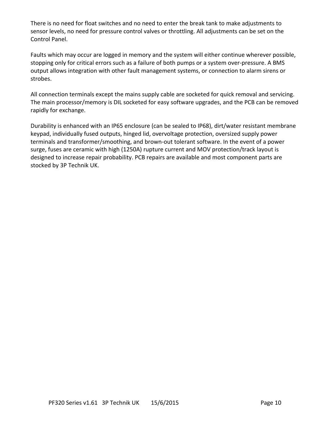There is no need for float switches and no need to enter the break tank to make adjustments to sensor levels, no need for pressure control valves or throttling. All adjustments can be set on the Control Panel.

Faults which may occur are logged in memory and the system will either continue wherever possible, stopping only for critical errors such as a failure of both pumps or a system over-pressure. A BMS output allows integration with other fault management systems, or connection to alarm sirens or strobes.

All connection terminals except the mains supply cable are socketed for quick removal and servicing. The main processor/memory is DIL socketed for easy software upgrades, and the PCB can be removed rapidly for exchange.

Durability is enhanced with an IP65 enclosure (can be sealed to IP68), dirt/water resistant membrane keypad, individually fused outputs, hinged lid, overvoltage protection, oversized supply power terminals and transformer/smoothing, and brown-out tolerant software. In the event of a power surge, fuses are ceramic with high (1250A) rupture current and MOV protection/track layout is designed to increase repair probability. PCB repairs are available and most component parts are stocked by 3P Technik UK.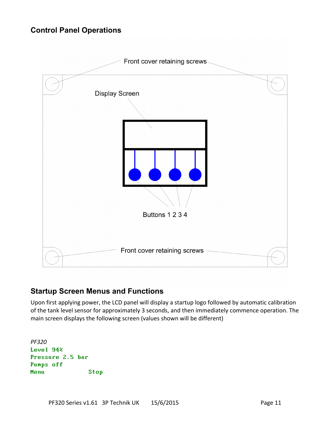## **Control Panel Operations**



## **Startup Screen Menus and Functions**

Upon first applying power, the LCD panel will display a startup logo followed by automatic calibration of the tank level sensor for approximately 3 seconds, and then immediately commence operation. The main screen displays the following screen (values shown will be different)

*PF320* Level 94% Pressure 2.5 bar Pumps off Menu Stop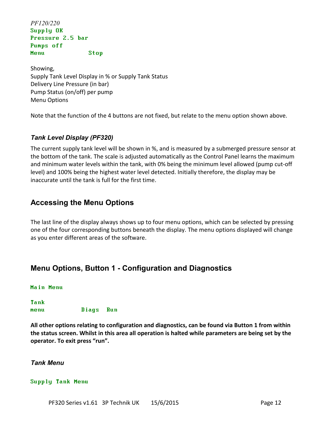*PF120/220* Supply OK Pressure 2.5 bar Pumps off Menu Stop

Showing, Supply Tank Level Display in % or Supply Tank Status Delivery Line Pressure (in bar) Pump Status (on/off) per pump Menu Options

Note that the function of the 4 buttons are not fixed, but relate to the menu option shown above.

#### *Tank Level Display (PF320)*

The current supply tank level will be shown in %, and is measured by a submerged pressure sensor at the bottom of the tank. The scale is adjusted automatically as the Control Panel learns the maximum and minimum water levels within the tank, with 0% being the minimum level allowed (pump cut-off level) and 100% being the highest water level detected. Initially therefore, the display may be inaccurate until the tank is full for the first time.

## **Accessing the Menu Options**

The last line of the display always shows up to four menu options, which can be selected by pressing one of the four corresponding buttons beneath the display. The menu options displayed will change as you enter different areas of the software.

## **Menu Options, Button 1 - Configuration and Diagnostics**

#### Main Menu

Tank menu Diags Run

**All other options relating to configuration and diagnostics, can be found via Button 1 from within the status screen. Whilst in this area all operation is halted while parameters are being set by the operator. To exit press "run".**

#### *Tank Menu*

#### Supply Tank Menu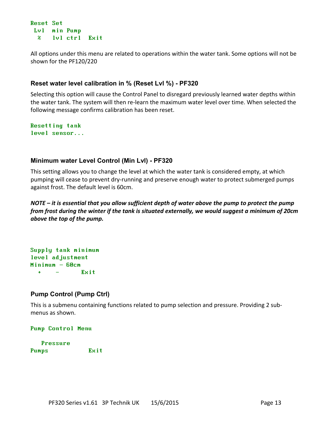```
Reset Set
 Lvl min Pump
  % lvl ctrl Exit
```
All options under this menu are related to operations within the water tank. Some options will not be shown for the PF120/220

#### **Reset water level calibration in % (Reset Lvl %) - PF320**

Selecting this option will cause the Control Panel to disregard previously learned water depths within the water tank. The system will then re-learn the maximum water level over time. When selected the following message confirms calibration has been reset.

Resetting tank level sensor...

#### **Minimum water Level Control (Min Lvl) - PF320**

This setting allows you to change the level at which the water tank is considered empty, at which pumping will cease to prevent dry-running and preserve enough water to protect submerged pumps against frost. The default level is 60cm.

*NOTE – it is essential that you allow sufficient depth of water above the pump to protect the pump from frost during the winter if the tank is situated externally, we would suggest a minimum of 20cm above the top of the pump.*

```
Supply tank minimum
level adjustment
Minimum - 60cm
  + - Exit
```
#### **Pump Control (Pump Ctrl)**

This is a submenu containing functions related to pump selection and pressure. Providing 2 submenus as shown.

#### Pump Control Menu

```
 Pressure
Pumps Exit
```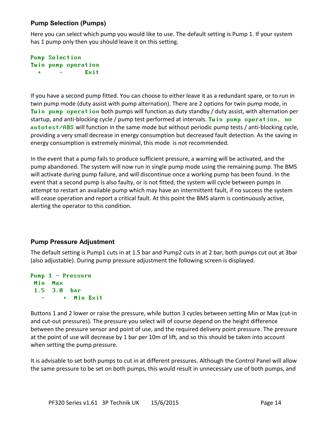#### **Pump Selection (Pumps)**

Here you can select which pump you would like to use. The default setting is Pump 1. If your system has 1 pump only then you should leave it on this setting.

#### Pump Selection Twin pump operation  $+$   $\mathbf{Exit}$

If you have a second pump fitted. You can choose to either leave it as a redundant spare, or to run in twin pump mode (duty assist with pump alternation). There are 2 options for twin pump mode, in Twin pump operation both pumps will function as duty standby / duty assist, with alternation per startup, and anti-blocking cycle / pump test performed at intervals. Twin pump operation, no autotest/ABS will function in the same mode but without periodic pump tests / anti-blocking cycle, providing a very small decrease in energy consumption but decreased fault detection. As the saving in energy consumption is extremely minimal, this mode is not recommended.

In the event that a pump fails to produce sufficient pressure, a warning will be activated, and the pump abandoned. The system will now run in single pump mode using the remaining pump. The BMS will activate during pump failure, and will discontinue once a working pump has been found. In the event that a second pump is also faulty, or is not fitted, the system will cycle between pumps in attempt to restart an available pump which may have an intermittent fault, if no success the system will cease operation and report a critical fault. At this point the BMS alarm is continuously active, alerting the operator to this condition.

#### **Pump Pressure Adjustment**

The default setting is Pump1 cuts in at 1.5 bar and Pump2 cuts in at 2 bar, both pumps cut out at 3bar (also adjustable). During pump pressure adjustment the following screen is displayed.

```
Pump 1 – Pressure
 Min Max
  1.5 3.0 bar
          - + Min Exit
```
Buttons 1 and 2 lower or raise the pressure, while button 3 cycles between setting Min or Max (cut-in and cut-out pressures). The pressure you select will of course depend on the height difference between the pressure sensor and point of use, and the required delivery point pressure. The pressure at the point of use will decrease by 1 bar per 10m of lift, and so this should be taken into account when setting the pump pressure.

It is advisable to set both pumps to cut in at different pressures. Although the Control Panel will allow the same pressure to be set on both pumps, this would result in unnecessary use of both pumps, and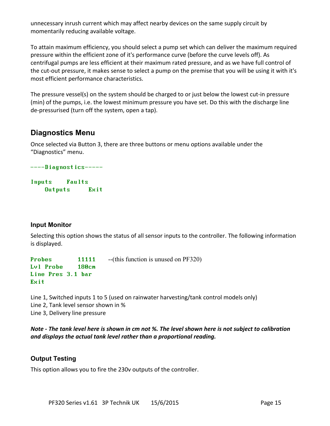unnecessary inrush current which may affect nearby devices on the same supply circuit by momentarily reducing available voltage.

To attain maximum efficiency, you should select a pump set which can deliver the maximum required pressure within the efficient zone of it's performance curve (before the curve levels off). As centrifugal pumps are less efficient at their maximum rated pressure, and as we have full control of the cut-out pressure, it makes sense to select a pump on the premise that you will be using it with it's most efficient performance characteristics.

The pressure vessel(s) on the system should be charged to or just below the lowest cut-in pressure (min) of the pumps, i.e. the lowest minimum pressure you have set. Do this with the discharge line de-pressurised (turn off the system, open a tap).

## **Diagnostics Menu**

Once selected via Button 3, there are three buttons or menu options available under the "Diagnostics" menu.

----Diagnostics-----

Inputs Faults Outputs Exit

#### **Input Monitor**

Selecting this option shows the status of all sensor inputs to the controller. The following information is displayed.

Probes 11111 -- (this function is unused on PF320) Lvl Probe 180cm Line Pres 3.1 bar Exit

Line 1, Switched inputs 1 to 5 (used on rainwater harvesting/tank control models only) Line 2, Tank level sensor shown in % Line 3, Delivery line pressure

*Note - The tank level here is shown in cm not %. The level shown here is not subject to calibration and displays the actual tank level rather than a proportional reading.*

#### **Output Testing**

This option allows you to fire the 230v outputs of the controller.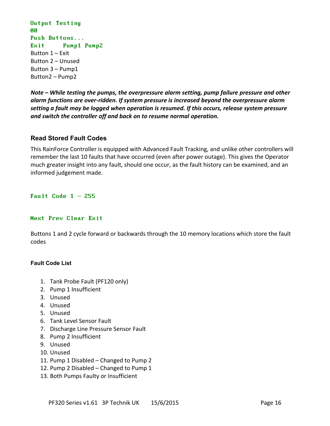```
Output Testing
PD
Push Buttons...
Exit Pump1 Pump2
Button 1 – Exit
Button 2 – Unused
Button 3 – Pump1
Button2 – Pump2
```
*Note – While testing the pumps, the overpressure alarm setting, pump failure pressure and other alarm functions are over-ridden. If system pressure is increased beyond the overpressure alarm setting a fault may be logged when operation is resumed. If this occurs, release system pressure and switch the controller off and back on to resume normal operation.*

#### **Read Stored Fault Codes**

This RainForce Controller is equipped with Advanced Fault Tracking, and unlike other controllers will remember the last 10 faults that have occurred (even after power outage). This gives the Operator much greater insight into any fault, should one occur, as the fault history can be examined, and an informed judgement made.

Fault Code  $1 - 255$ 

#### Next Prev Clear Exit

Buttons 1 and 2 cycle forward or backwards through the 10 memory locations which store the fault codes

#### **Fault Code List**

- 1. Tank Probe Fault (PF120 only)
- 2. Pump 1 Insufficient
- 3. Unused
- 4. Unused
- 5. Unused
- 6. Tank Level Sensor Fault
- 7. Discharge Line Pressure Sensor Fault
- 8. Pump 2 Insufficient
- 9. Unused
- 10. Unused
- 11. Pump 1 Disabled Changed to Pump 2
- 12. Pump 2 Disabled Changed to Pump 1
- 13. Both Pumps Faulty or Insufficient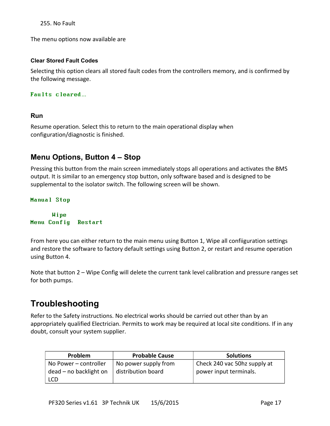255. No Fault

The menu options now available are

#### **Clear Stored Fault Codes**

Selecting this option clears all stored fault codes from the controllers memory, and is confirmed by the following message.

#### Faults cleared…

#### **Run**

Resume operation. Select this to return to the main operational display when configuration/diagnostic is finished.

### **Menu Options, Button 4 – Stop**

Pressing this button from the main screen immediately stops all operations and activates the BMS output. It is similar to an emergency stop button, only software based and is designed to be supplemental to the isolator switch. The following screen will be shown.

#### Manual Stop

 Wipe Menu Config Restart

From here you can either return to the main menu using Button 1, Wipe all confiiguration settings and restore the software to factory default settings using Button 2, or restart and resume operation using Button 4.

Note that button 2 – Wipe Config will delete the current tank level calibration and pressure ranges set for both pumps.

## **Troubleshooting**

Refer to the Safety instructions. No electrical works should be carried out other than by an appropriately qualified Electrician. Permits to work may be required at local site conditions. If in any doubt, consult your system supplier.

| <b>Problem</b>         | <b>Probable Cause</b> | <b>Solutions</b>             |
|------------------------|-----------------------|------------------------------|
| No Power – controller  | No power supply from  | Check 240 vac 50hz supply at |
| dead – no backlight on | distribution board    | power input terminals.       |
| <b>LCD</b>             |                       |                              |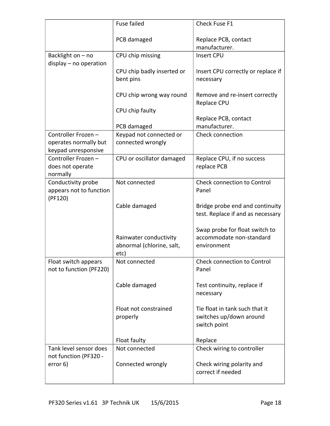|                                                    | Fuse failed                                         | Check Fuse F1                                                             |
|----------------------------------------------------|-----------------------------------------------------|---------------------------------------------------------------------------|
|                                                    | PCB damaged                                         | Replace PCB, contact                                                      |
|                                                    |                                                     | manufacturer.                                                             |
| Backlight on - no<br>display - no operation        | CPU chip missing                                    | Insert CPU                                                                |
|                                                    | CPU chip badly inserted or                          | Insert CPU correctly or replace if                                        |
|                                                    | bent pins                                           | necessary                                                                 |
|                                                    | CPU chip wrong way round                            | Remove and re-insert correctly<br>Replace CPU                             |
|                                                    | CPU chip faulty                                     |                                                                           |
|                                                    | PCB damaged                                         | Replace PCB, contact<br>manufacturer.                                     |
| Controller Frozen-                                 | Keypad not connected or                             | Check connection                                                          |
| operates normally but<br>keypad unresponsive       | connected wrongly                                   |                                                                           |
| Controller Frozen-<br>does not operate<br>normally | CPU or oscillator damaged                           | Replace CPU, if no success<br>replace PCB                                 |
| Conductivity probe                                 | Not connected                                       | Check connection to Control                                               |
| appears not to function<br>(PF120)                 |                                                     | Panel                                                                     |
|                                                    | Cable damaged                                       | Bridge probe end and continuity<br>test. Replace if and as necessary      |
|                                                    |                                                     | Swap probe for float switch to                                            |
|                                                    | Rainwater conductivity<br>abnormal (chlorine, salt, | accommodate non-standard<br>environment                                   |
|                                                    | etc)                                                |                                                                           |
| Float switch appears<br>not to function (PF220)    | Not connected                                       | <b>Check connection to Control</b><br>Panel                               |
|                                                    | Cable damaged                                       | Test continuity, replace if<br>necessary                                  |
|                                                    | Float not constrained<br>properly                   | Tie float in tank such that it<br>switches up/down around<br>switch point |
|                                                    |                                                     | Replace                                                                   |
| Tank level sensor does                             | Float faulty<br>Not connected                       |                                                                           |
| not function (PF320 -                              |                                                     | Check wiring to controller                                                |
| error 6)                                           | Connected wrongly                                   | Check wiring polarity and<br>correct if needed                            |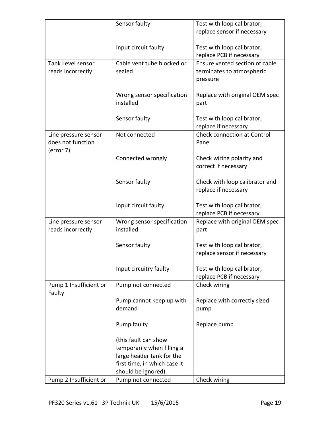|                                                        | Sensor faulty                                                                                                                          | Test with loop calibrator,                                              |
|--------------------------------------------------------|----------------------------------------------------------------------------------------------------------------------------------------|-------------------------------------------------------------------------|
|                                                        |                                                                                                                                        | replace sensor if necessary                                             |
|                                                        | Input circuit faulty                                                                                                                   | Test with loop calibrator,<br>replace PCB if necessary                  |
| Tank Level sensor<br>reads incorrectly                 | Cable vent tube blocked or<br>sealed                                                                                                   | Ensure vented section of cable<br>terminates to atmospheric<br>pressure |
|                                                        | Wrong sensor specification<br>installed                                                                                                | Replace with original OEM spec<br>part                                  |
|                                                        | Sensor faulty                                                                                                                          | Test with loop calibrator,<br>replace if necessary                      |
| Line pressure sensor<br>does not function<br>(error 7) | Not connected                                                                                                                          | <b>Check connection at Control</b><br>Panel                             |
|                                                        | Connected wrongly                                                                                                                      | Check wiring polarity and<br>correct if necessary                       |
|                                                        | Sensor faulty                                                                                                                          | Check with loop calibrator and<br>replace if necessary                  |
|                                                        | Input circuit faulty                                                                                                                   | Test with loop calibrator,<br>replace PCB if necessary                  |
| Line pressure sensor<br>reads incorrectly              | Wrong sensor specification<br>installed                                                                                                | Replace with original OEM spec<br>part                                  |
|                                                        | Sensor faulty                                                                                                                          | Test with loop calibrator,<br>replace sensor if necessary               |
|                                                        | Input circuitry faulty                                                                                                                 | Test with loop calibrator,<br>replace PCB if necessary                  |
| Pump 1 Insufficient or<br>Faulty                       | Pump not connected                                                                                                                     | Check wiring                                                            |
|                                                        | Pump cannot keep up with<br>demand                                                                                                     | Replace with correctly sized<br>pump                                    |
|                                                        | Pump faulty                                                                                                                            | Replace pump                                                            |
|                                                        | (this fault can show<br>temporarily when filling a<br>large header tank for the<br>first time, in which case it<br>should be ignored). |                                                                         |
| Pump 2 Insufficient or                                 | Pump not connected                                                                                                                     | Check wiring                                                            |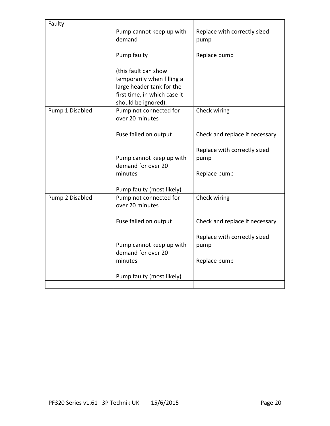| Faulty          |                                               |                                      |
|-----------------|-----------------------------------------------|--------------------------------------|
|                 | Pump cannot keep up with<br>demand            | Replace with correctly sized<br>pump |
|                 | Pump faulty                                   | Replace pump                         |
|                 | (this fault can show                          |                                      |
|                 | temporarily when filling a                    |                                      |
|                 | large header tank for the                     |                                      |
|                 | first time, in which case it                  |                                      |
| Pump 1 Disabled | should be ignored).<br>Pump not connected for | Check wiring                         |
|                 | over 20 minutes                               |                                      |
|                 | Fuse failed on output                         | Check and replace if necessary       |
|                 |                                               | Replace with correctly sized         |
|                 | Pump cannot keep up with                      | pump                                 |
|                 | demand for over 20                            |                                      |
|                 | minutes                                       | Replace pump                         |
|                 | Pump faulty (most likely)                     |                                      |
| Pump 2 Disabled | Pump not connected for                        | Check wiring                         |
|                 | over 20 minutes                               |                                      |
|                 | Fuse failed on output                         | Check and replace if necessary       |
|                 |                                               | Replace with correctly sized         |
|                 | Pump cannot keep up with                      | pump                                 |
|                 | demand for over 20                            |                                      |
|                 | minutes                                       | Replace pump                         |
|                 | Pump faulty (most likely)                     |                                      |
|                 |                                               |                                      |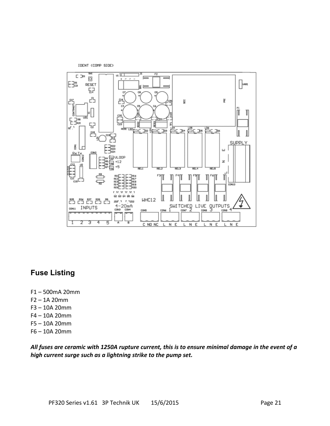



## **Fuse Listing**

- F1 500mA 20mm
- F2 1A 20mm
- F3 10A 20mm
- F4 10A 20mm
- F5 10A 20mm
- F6 10A 20mm

*All fuses are ceramic with 1250A rupture current, this is to ensure minimal damage in the event of a high current surge such as a lightning strike to the pump set.*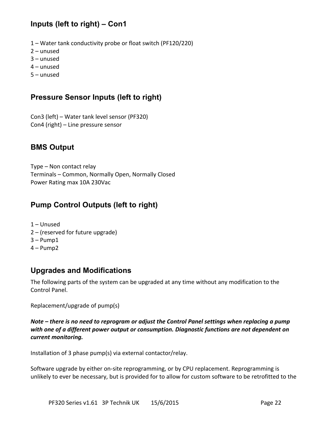## **Inputs (left to right) – Con1**

- 1 Water tank conductivity probe or float switch (PF120/220)
- 2 unused
- 3 unused
- 4 unused
- 5 unused

## **Pressure Sensor Inputs (left to right)**

Con3 (left) – Water tank level sensor (PF320) Con4 (right) – Line pressure sensor

## **BMS Output**

Type – Non contact relay Terminals – Common, Normally Open, Normally Closed Power Rating max 10A 230Vac

## **Pump Control Outputs (left to right)**

- 1 Unused
- 2 (reserved for future upgrade)
- $3 -$  Pump1
- 4 Pump2

## **Upgrades and Modifications**

The following parts of the system can be upgraded at any time without any modification to the Control Panel.

Replacement/upgrade of pump(s)

*Note – there is no need to reprogram or adjust the Control Panel settings when replacing a pump with one of a different power output or consumption. Diagnostic functions are not dependent on current monitoring.*

Installation of 3 phase pump(s) via external contactor/relay.

Software upgrade by either on-site reprogramming, or by CPU replacement. Reprogramming is unlikely to ever be necessary, but is provided for to allow for custom software to be retrofitted to the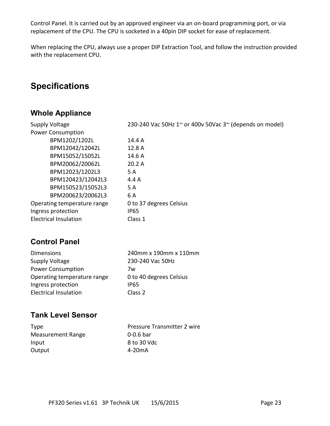Control Panel. It is carried out by an approved engineer via an on-board programming port, or via replacement of the CPU. The CPU is socketed in a 40pin DIP socket for ease of replacement.

When replacing the CPU, always use a proper DIP Extraction Tool, and follow the instruction provided with the replacement CPU.

## **Specifications**

## **Whole Appliance**

| <b>Supply Voltage</b>        | 230-240 Vac 50Hz $1^{\circ}$ or 400v 50Vac $3^{\circ}$ (depends on model) |
|------------------------------|---------------------------------------------------------------------------|
| <b>Power Consumption</b>     |                                                                           |
| BPM1202/1202L                | 14.4 A                                                                    |
| BPM12042/12042L              | 12.8 A                                                                    |
| BPM15052/15052L              | 14.6 A                                                                    |
| BPM20062/20062L              | 20.2A                                                                     |
| BPM12023/1202L3              | 5 A                                                                       |
| BPM120423/12042L3            | 4.4 A                                                                     |
| BPM150523/15052L3            | 5 A                                                                       |
| BPM200623/20062L3            | 6 A                                                                       |
| Operating temperature range  | 0 to 37 degrees Celsius                                                   |
| Ingress protection           | <b>IP65</b>                                                               |
| <b>Electrical Insulation</b> | Class 1                                                                   |
|                              |                                                                           |

## **Control Panel**

| <b>Dimensions</b>            | 240mm x 190mm x 110mm   |
|------------------------------|-------------------------|
| Supply Voltage               | 230-240 Vac 50Hz        |
| <b>Power Consumption</b>     | 7w                      |
| Operating temperature range  | 0 to 40 degrees Celsius |
| Ingress protection           | IP65                    |
| <b>Electrical Insulation</b> | Class 2                 |
|                              |                         |

## **Tank Level Sensor**

| <b>Type</b>       |
|-------------------|
| Measurement Range |
| Input             |
| Output            |

Pressure Transmitter 2 wire  $0-0.6$  bar 8 to 30 Vdc 4-20mA